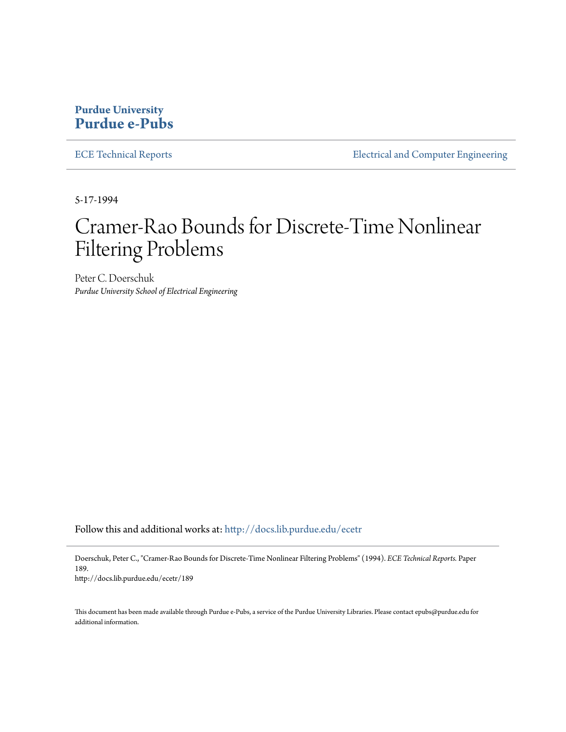## **Purdue University [Purdue e-Pubs](http://docs.lib.purdue.edu?utm_source=docs.lib.purdue.edu%2Fecetr%2F189&utm_medium=PDF&utm_campaign=PDFCoverPages)**

[ECE Technical Reports](http://docs.lib.purdue.edu/ecetr?utm_source=docs.lib.purdue.edu%2Fecetr%2F189&utm_medium=PDF&utm_campaign=PDFCoverPages) **ELECTE ELECTE ENGINEER** ELECTECAL and Computer Engineering

5-17-1994

# Cramer-Rao Bounds for Discrete-Time Nonlinear Filtering Problems

Peter C. Doerschuk *Purdue University School of Electrical Engineering*

Follow this and additional works at: [http://docs.lib.purdue.edu/ecetr](http://docs.lib.purdue.edu/ecetr?utm_source=docs.lib.purdue.edu%2Fecetr%2F189&utm_medium=PDF&utm_campaign=PDFCoverPages)

Doerschuk, Peter C., "Cramer-Rao Bounds for Discrete-Time Nonlinear Filtering Problems" (1994). *ECE Technical Reports.* Paper 189.

http://docs.lib.purdue.edu/ecetr/189

This document has been made available through Purdue e-Pubs, a service of the Purdue University Libraries. Please contact epubs@purdue.edu for additional information.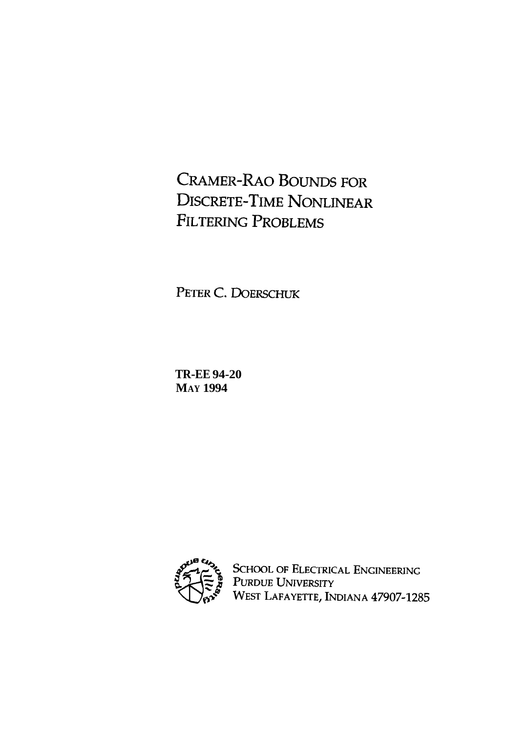**CRAMER-RAO BOUNDS FOR DISCRETE-TIME NONLINEAR FILTERING PROBLEMS** 

PETER C. DOERSCHUK

**TR-EE 94-20 MAY 1994** 



SCHOOL OF ELECTRICAL ENGINEERING<br>PURDUE UNIVERSITY<br>WEST LAFAYETTE, INDIANA 47907-1285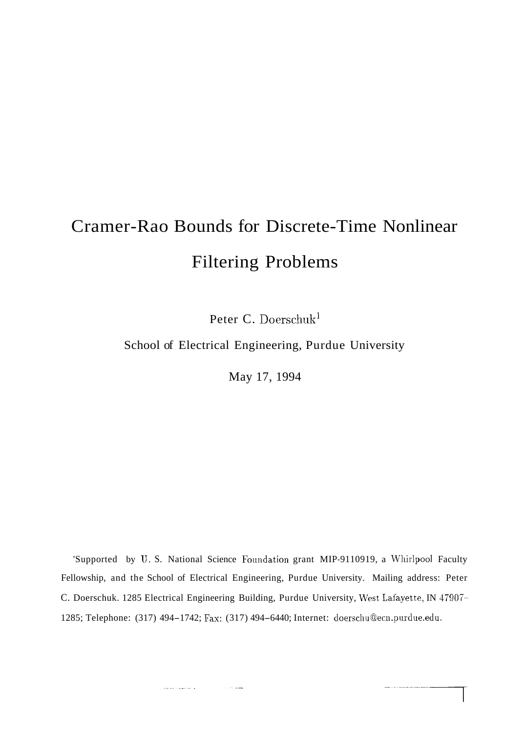# Cramer-Rao Bounds for Discrete-Time Nonlinear Filtering Problems

Peter C. Doerschuk<sup>1</sup>

School of Electrical Engineering, Purdue University

May 17, 1994

'Supported by U. S. National Science Foundation grant MIP-9110919, a Whirlpool Faculty Fellowship, and the School of Electrical Engineering, Purdue University. Mailing address: Peter C. Doerschuk. 1285 Electrical Engineering Building, Purdue University, West Lafayette, IN 47907-1285; Telephone: (317) 494-1742; Fax: (317) 494-6440; Internet: doerschu@ecn.purdue.edu.

and the second component of the

سنسا المحاديث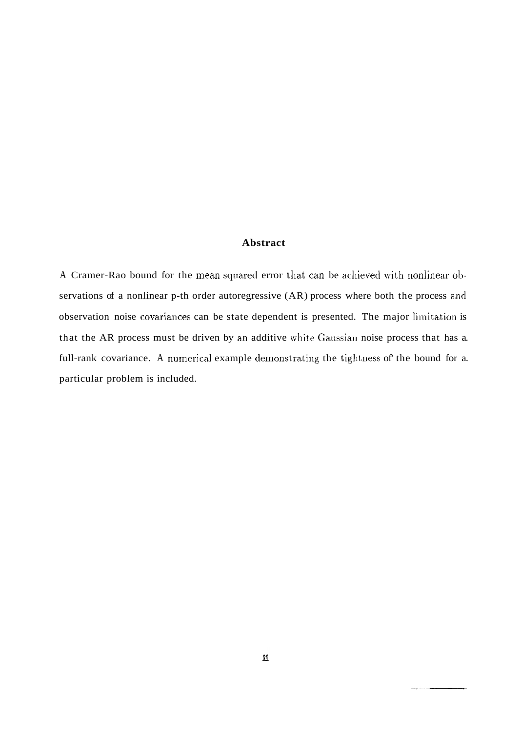### **Abstract**

A Cramer-Rao bound for the mean squared error that can be achieved with nonlinear observations of a nonlinear p-th order autoregressive (AR) process where both the process and observation noise covariances can be state dependent is presented. The major limitation is that the AR process must be driven by an additive white Gaussian noise process that has a. full-rank covariance. A numerical example demonstrating the tightness of the bound for a. particular problem is included.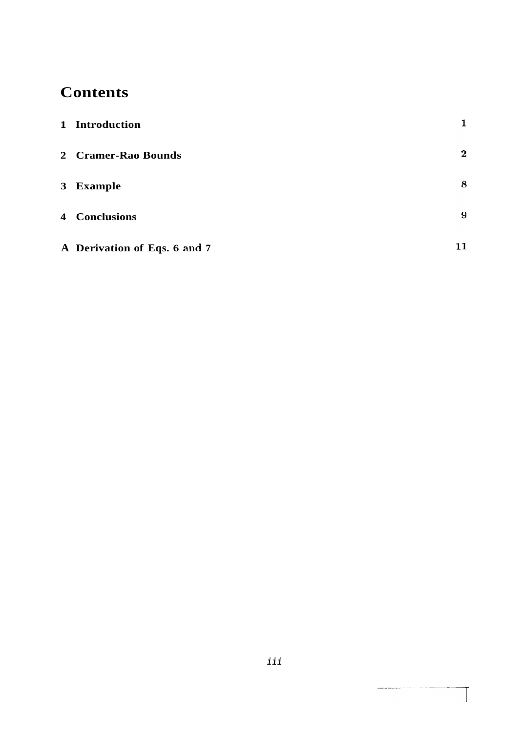# **Contents**

| 1 Introduction               | 1            |
|------------------------------|--------------|
| 2 Cramer-Rao Bounds          | $\mathbf{2}$ |
| 3 Example                    | 8            |
| <b>4</b> Conclusions         | 9            |
| A Derivation of Eqs. 6 and 7 | 11           |

 $\label{eq:constr} \begin{split} \text{conversal number of vectors} & \mathcal{L}_{\text{max}}(x) = \mathcal{L}_{\text{max}}(x) \mathcal{L}_{\text{max}}(x) + \mathcal{L}_{\text{max}}(x) \mathcal{L}_{\text{max}}(x) \end{split}$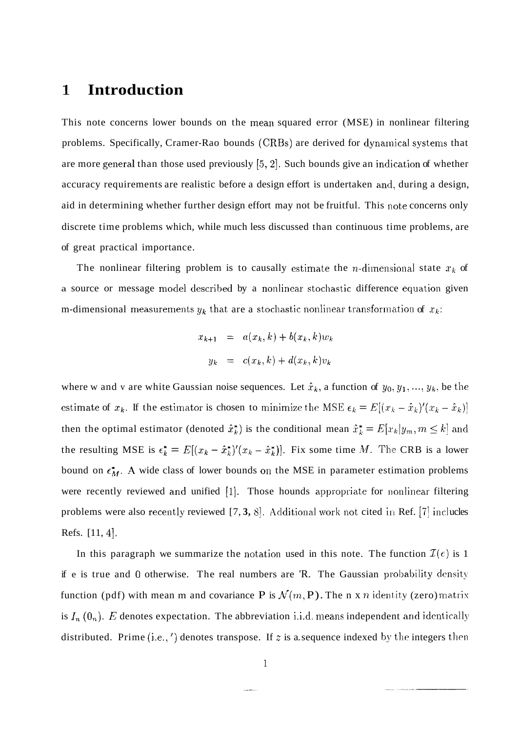# **1 Introduction**

This note concerns lower bounds on the mean squared error (MSE) in nonlinear filtering problems. Specifically, Cramer-Rao bounds (CRBs) are derived for dynarnical systems that are more general than those used previously  $[5, 2]$ . Such bounds give an indication of whether accuracy requirements are realistic before a design effort is undertaken and, during a design, aid in determining whether further design effort may not be fruitful. This note concerns only discrete time problems which, while much less discussed than continuous time problems, are of great practical importance.

The nonlinear filtering problem is to causally estimate the *n*-dimensional state  $x_k$  of a source or message model described by a nonlinear stochastic difference equation given m-dimensional measurements  $y_k$  that are a stochastic nonlinear transformation of  $x_k$ :

$$
x_{k+1} = a(x_k, k) + b(x_k, k)w_k
$$
  

$$
y_k = c(x_k, k) + d(x_k, k)v_k
$$

where w and v are white Gaussian noise sequences. Let  $\hat{x}_k$ , a function of  $y_0, y_1, ..., y_k$ , be the estimate of  $x_k$ . If the estimator is chosen to minimize the MSE  $\epsilon_k = E[(x_k - \hat{x}_k)'(x_k - \hat{x}_k)]$ then the optimal estimator (denoted  $\hat{x}_k^*$ ) is the conditional mean  $\hat{x}_k^* = E[x_k|y_m, m \leq k]$  and the resulting MSE is  $\epsilon_k^* = E[(x_k - \hat{x}_k^*)'(x_k - \hat{x}_k^*)]$ . Fix some time M. The CRB is a lower bound on  $\epsilon_M^*$ . A wide class of lower bounds on the MSE in parameter estimation problems were recently reviewed and unified  $[1]$ . Those hounds appropriate for nonlinear filtering problems were also recently reviewed [7, 3, 8]. Additional work not cited in Ref. [7] inclucles Refs.  $[11, 4]$ .

In this paragraph we summarize the notation used in this note. The function  $\mathcal{I}(e)$  is 1 if e is true and 0 otherwise. The real numbers are 'R. The Gaussian probability density function (pdf) with mean m and covariance P is  $\mathcal{N}(m, P)$ . The n x n identity (zero) matrix is  $I_n$   $(0_n)$ . *E* denotes expectation. The abbreviation i.i.d. means independent and identically distributed. Prime (i.e., ') denotes transpose. If z is a sequence indexed by the integers then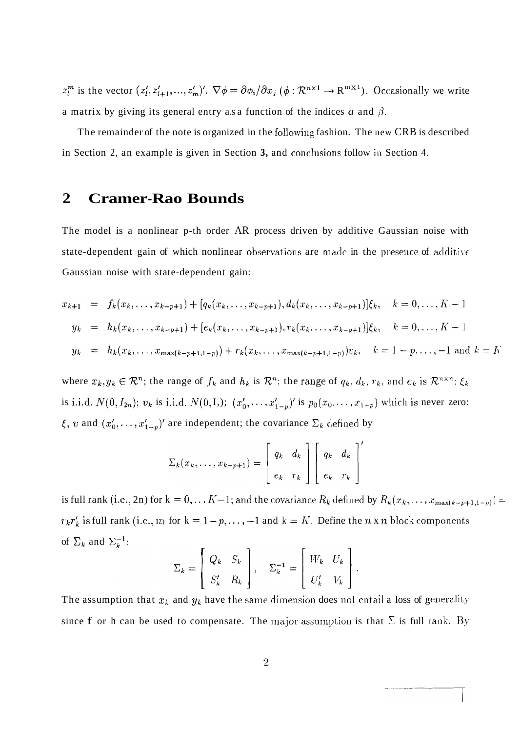$z_l^m$  is the vector  $(z_l', z_{l+1}', ..., z_m')'$ .  $\nabla \phi = \frac{\partial \phi_i}{\partial x_j} (\phi : \mathcal{R}^{n \times 1} \to \mathcal{R}^{m \times 1})$ . Occasionally we write a matrix by giving its general entry a.s a function of the indices a and  $\beta$ .

The remainder of the note is organized in the following fashion. The new CRB is described in Section 2, an example is given in Section 3, and conclusions follow in Section 4.

#### $\boldsymbol{2}$ **Cramer-Rao Bounds**

The model is a nonlinear p-th order AR process driven by additive Gaussian noise with state-dependent gain of which nonlinear observations are made in the presence of additive Gaussian noise with state-dependent gain:

$$
x_{k+1} = f_k(x_k, \dots, x_{k-p+1}) + [q_k(x_k, \dots, x_{k-p+1}), d_k(x_k, \dots, x_{k-p+1})] \xi_k, \quad k = 0, \dots, K-1
$$
  
\n
$$
y_k = h_k(x_k, \dots, x_{k-p+1}) + [e_k(x_k, \dots, x_{k-p+1}), r_k(x_k, \dots, x_{k-p+1})] \xi_k, \quad k = 0, \dots, K-1
$$
  
\n
$$
y_k = h_k(x_k, \dots, x_{\max(k-p+1, 1-p)}) + r_k(x_k, \dots, x_{\max(k-p+1, 1-p)}) v_k, \quad k = 1 - p, \dots, -1 \text{ and } k = K
$$

where  $x_k, y_k \in \mathcal{R}^n$ ; the range of  $f_k$  and  $h_k$  is  $\mathcal{R}^n$ ; the range of  $q_k, d_k, r_k$ , and  $e_k$  is  $\mathcal{R}^{n \times n}$ ;  $\xi_k$ is i.i.d.  $N(0, I_{2n})$ ;  $v_k$  is i.i.d.  $N(0, I_{n})$ ;  $(x'_0, \ldots, x'_{1-p})'$  is  $p_0(x_0, \ldots, x_{1-p})$  which is never zero:  $\xi$ , v and  $(x'_0, \ldots, x'_{1-p})'$  are independent; the covariance  $\Sigma_k$  defined by

$$
\Sigma_k(x_k,\ldots,x_{k-p+1}) = \left[\begin{array}{cc} q_k & d_k \\ e_k & r_k \end{array}\right] \left[\begin{array}{cc} q_k & d_k \\ e_k & r_k \end{array}\right]
$$

is full rank (i.e., 2n) for  $k = 0, \ldots K-1$ ; and the covariance  $R_k$  defined by  $R_k(x_k, \ldots, x_{\max(k-p+1,1-p)}) =$  $r_k r'_k$  is full rank (i.e.,  $nz$ ) for  $k = 1-p, ..., -1$  and  $k = K$ . Define the *n* x *n* block components of  $\Sigma_k$  and  $\Sigma_k^{-1}$ :

$$
\Sigma_k = \left[ \begin{array}{cc} Q_k & S_k \\ S'_k & R_k \end{array} \right], \quad \Sigma_k^{-1} = \left[ \begin{array}{cc} W_k & U_k \\ U'_k & V_k \end{array} \right]
$$

The assumption that  $x_k$  and  $y_k$  have the same dimension does not entail a loss of generality since f or h can be used to compensate. The major assumption is that  $\Sigma$  is full rank. By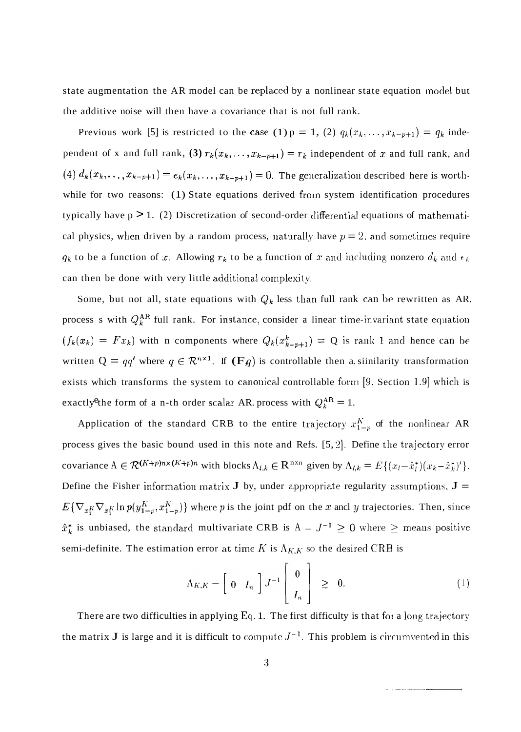state augmentation the AR model can be replaced by a nonlinear state equation model but the additive noise will then have a covariance that is not full rank.

Previous work [5] is restricted to the case (1)  $p = 1$ , (2)  $q_k(x_k,...,x_{k-p+1}) = q_k$  independent of x and full rank, (3)  $r_k(x_k,..., x_{k-p+1}) = r_k$  independent of x and full rank, and (4)  $d_k(x_k, \ldots, x_{k-p+1}) = e_k(x_k, \ldots, x_{k-p+1}) = 0$ . The generalization described here is worthwhile for two reasons: (1) State equations derived from system identification procedures typically have  $p > 1$ . (2) Discretization of second-order differential equations of mathematical physics, when driven by a random process, naturally have  $p = 2$ , and sometimes require  $q_k$  to be a function of x. Allowing  $r_k$  to be a function of x and including nonzero  $d_k$  and  $\epsilon_k$ can then be done with very little additional complexity.

Some, but not all, state equations with  $Q_k$  less than full rank can be rewritten as AR. process s with  $Q_k^{AR}$  full rank. For instance, consider a linear time-invariant state equation exactly <sup>e</sup> the form of a n-th order scalar AR. process with  $Q_k^{AR} = 1$ .  $(f_k(x_k) = Fx_k)$  with n components where  $Q_k(x_{k-p+1}^k) = Q$  is rank 1 and hence can be written  $Q = qq'$  where  $q \in \mathbb{R}^{n \times 1}$ . If  $(Fq)$  is controllable then a siinilarity transformation exists which transforms the system to canonical controllable form [9, Section 1.9] which is

Application of the standard CRB to the entire trajectory  $x_{1-p}^K$  of the nonlinear AR process gives the basic bound used in this note and Refs.  $[5, 2]$ . Define the trajectory error covariance  $A \in \mathcal{R}^{(K+p)n \times (K+p)n}$  with blocks  $\Lambda_{l,k} \in \mathbb{R}^{n \times n}$  given by  $\Lambda_{l,k} = E\{(x_l - \hat{x}_l^*)(x_k - \hat{x}_k^*)'\}.$ Define the Fisher information matrix **J** by, under appropriate regularity assumptions,  $J =$  $E\{\nabla_{x_1^K}\nabla_{x_1^K}\ln p(y_{1-p}^K, x_{1-p}^K)\}\$  where *p* is the joint pdf on the *x* ancl *y* trajectories. Then, since  $\hat{x}_k^*$  is unbiased, the standard multivariate CRB is  $A - J^{-1} \ge 0$  where  $\ge$  means positive semi-definite. The estimation error at time *K* is  $\Lambda_{K,K}$  so the desired CRB is

$$
\Lambda_{K,K} - \left[ 0 \quad I_n \right] J^{-1} \left[ \begin{array}{c} 0 \\ I_n \end{array} \right] \geq 0. \tag{1}
$$

There are two difficulties in applying Eq. 1. The first difficulty is that for a long trajectory the matrix **J** is large and it is difficult to compute  $J^{-1}$ . This problem is circumvented in this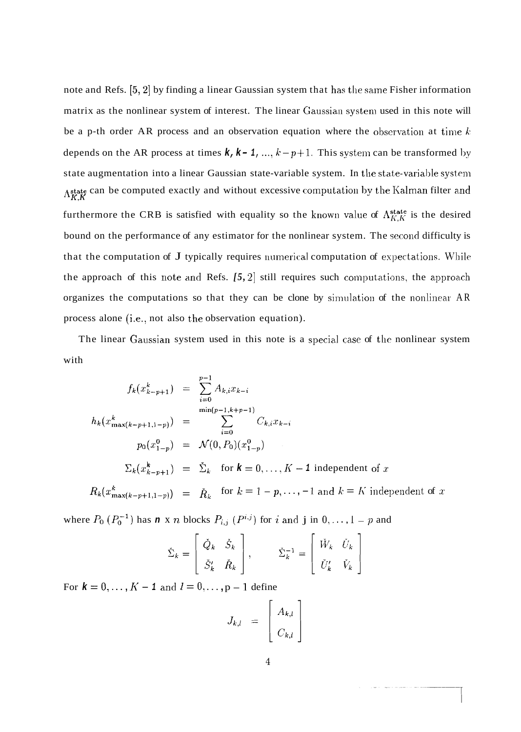note and Refs.  $[5,2]$  by finding a linear Gaussian system that has the same Fisher information matrix as the nonlinear system of interest. The linear Gaussian system used in this note will be a p-th order AR process and an observation equation where the observation at time  $k$ depends on the AR process at times  $k, k-1, ..., k-p+1$ . This system can be transformed by state augmentation into a linear Gaussian state-variable system. In the state-variable system Astate can be computed exactly and without excessive computation by the Kalman filter and  $K$ <sub>K</sub>K furthermore the CRB is satisfied with equality so the known value of  $\Lambda_{K,K}^{\text{state}}$  is the desired bound on the performance of any estimator for the nonlinear system. The second difficulty is that the computation of  $J$  typically requires numerical computation of expectations. While the approach of this note and Refs.  $[5, 2]$  still requires such computations, the approach organizes the computations so that they can be clone by simulation of the nonlinear AR process alone (i.e., not also the observation equation).

The linear Gaussian system used in this note is a special case of the nonlinear system with

$$
f_k(x_{k-p+1}^k) = \sum_{i=0}^{p-1} A_{k,i} x_{k-i}
$$
  
\n
$$
h_k(x_{\max(k-p+1,1-p)}^k) = \sum_{i=0}^{\min(p-1,k+p-1)} C_{k,i} x_{k-i}
$$
  
\n
$$
p_0(x_{1-p}^0) = \mathcal{N}(0, P_0)(x_{1-p}^0)
$$
  
\n
$$
\Sigma_k(x_{k-p+1}^k) = \Sigma_k \text{ for } k = 0, ..., K-1 \text{ independent of } x
$$
  
\n
$$
R_k(x_{\max(k-p+1,1-p}^k)) = \tilde{R}_k \text{ for } k = 1-p, ..., -1 \text{ and } k = K \text{ independent of } x
$$

where  $P_0$   $(P_0^{-1})$  has **n** x *n* blocks  $P_{i,j}$   $(P^{i,j})$  for *i* and **j** in  $0, \ldots, 1 - p$  and

$$
\check{\Sigma}_k = \begin{bmatrix} \check{Q}_k & \check{S}_k \\ \check{S}_k' & \check{R}_k \end{bmatrix}, \qquad \check{\Sigma}_k^{-1} = \begin{bmatrix} \check{W}_k & \check{U}_k \\ \check{U}_k' & \check{V}_k \end{bmatrix}
$$

For  $k = 0, ..., K - 1$  and  $l = 0, ..., p - 1$  define

$$
J_{k,l} = \left[ \begin{array}{c} A_{k,l} \\ C_{k,l} \end{array} \right]
$$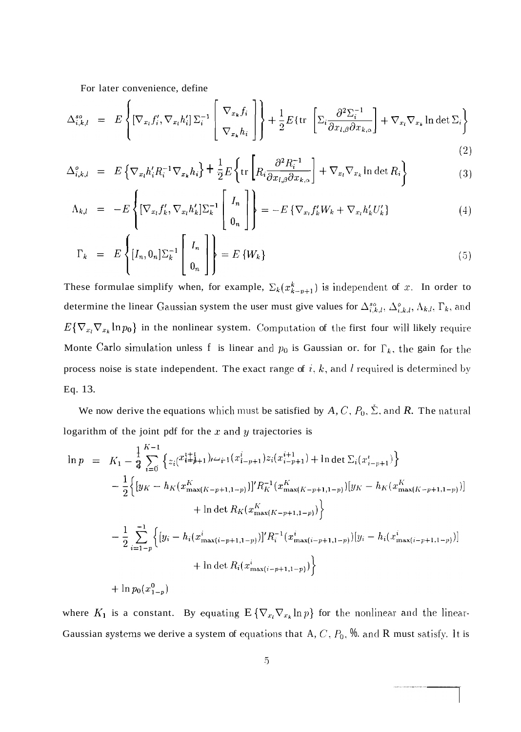For later convenience, define

$$
\Delta_{i,k,l}^{so} = E\left\{ \left[ \nabla_{x_l} f_i', \nabla_{x_l} h_i' \right] \Sigma_i^{-1} \left[ \nabla_{x_k} f_i \right] \right\} + \frac{1}{2} E\left\{ \text{tr} \left[ \Sigma_i \frac{\partial^2 \Sigma_i^{-1}}{\partial x_{l,\beta} \partial x_{k,\alpha}} \right] + \nabla_{x_l} \nabla_{x_k} \ln \det \Sigma_i \right\}
$$
\n(2)

$$
\Delta_{i,k,l}^o = E \left\{ \nabla_{x_l} h_i' R_i^{-1} \nabla_{x_k} h_i \right\} + \frac{1}{2} E \left\{ \text{tr} \left[ R_i \frac{\partial^2 R_i^{-1}}{\partial x_{l,\beta} \partial x_{k,\alpha}} \right] + \nabla_{x_l} \nabla_{x_k} \ln \det R_i \right\} \tag{3}
$$

$$
\Lambda_{k,l} = -E \left\{ \left[ \nabla_{x_l} f'_k, \nabla_{x_l} h'_k \right] \Sigma_k^{-1} \left[ \begin{array}{c} I_n \\ 0_n \end{array} \right] \right\} = -E \left\{ \nabla_{x_l} f'_k W_k + \nabla_{x_l} h'_k U'_k \right\} \tag{4}
$$

$$
\Gamma_k = E\left\{ [I_n, 0_n] \Sigma_k^{-1} \left[ \begin{array}{c} I_n \\ 0_n \end{array} \right] \right\} = E\left\{ W_k \right\} \tag{5}
$$

These formulae simplify when, for example,  $\Sigma_k(x_{k-p+1}^k)$  is independent of x. In order to determine the linear Gaussian system the user must give values for  $\Delta_{i,k,l}^{so}, \Delta_{i,k,l}^{o}, \Lambda_{k,l}, \Gamma_k$ , and  $E\{\nabla_{x_l}\nabla_{x_k}\ln p_0\}$  in the nonlinear system. Computation of the first four will likely require Monte Carlo simulation unless f is linear and  $p_0$  is Gaussian or. for  $\Gamma_k$ , the gain for the process noise is state independent. The exact range of  $i, k$ , and  $l$  required is determined by Eq. 13.

We now derive the equations which must be satisfied by A, C,  $P_0$ ,  $\Sigma$ , and R. The natural logarithm of the joint pdf for the  $x$  and  $y$  trajectories is

$$
\ln p = K_1 - \frac{1}{3} \sum_{i=0}^{K-1} \left\{ z_i(x_{i+p+1}^{i+1})_{i \leq i-1} (x_{i-p+1}^{i}) z_i(x_{i-p+1}^{i+1}) + \ln \det \sum_i (x_{i-p+1}^i) \right\} \n- \frac{1}{2} \left\{ \left[ y_K - h_K(x_{\max(K-p+1,1-p)}^K) \right]^{i} R_K^{-1} (x_{\max(K-p+1,1-p)}^K) [y_K - h_K(x_{\max(K-p+1,1-p)}^K) ] \right\} \n+ \ln \det R_K(x_{\max(K-p+1,1-p)}^K) \right\} \n- \frac{1}{2} \sum_{i=1-p}^{-1} \left\{ \left[ y_i - h_i(x_{\max(i-p+1,1-p)}^i) \right]^{i} R_i^{-1} (x_{\max(i-p+1,1-p)}^i) [y_i - h_i(x_{\max(i-p+1,1-p)}^i) ] \right\} \n+ \ln \det R_i(x_{\max(i-p+1,1-p)}^i) \right\} \n+ \ln p_0(x_{1-p}^0)
$$

where  $K_1$  is a constant. By equating  $E\{\nabla_{x_i}\nabla_{x_k}\ln p\}$  for the nonlinear and the linear-Gaussian systems we derive a system of equations that A,  $C$ ,  $P_0$ , % and R must satisfy. It is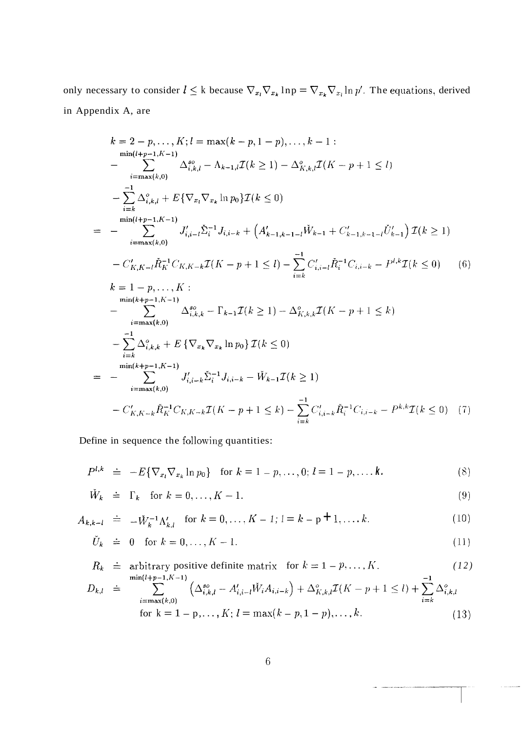only necessary to consider  $l \leq k$  because  $\nabla_{x_l} \nabla_{x_k} \ln p = \nabla_{x_k} \nabla_{x_l} \ln p'$ . The equations, derived in Appendix A, are

$$
k = 2 - p, ..., K; l = \max(k - p, 1 - p), ..., k - 1:
$$
\n
$$
-\sum_{i = \max(k, 0)}^{\min(l + p - 1, K - 1)} \Delta_{i, k, l}^{so} - \Lambda_{k - 1, l} \mathcal{I}(k \ge 1) - \Delta_{K, k, l}^{o} \mathcal{I}(K - p + 1 \le l)
$$
\n
$$
-\sum_{i = \max(k, 0)}^{-1} \Delta_{i, k, l}^{o} + E\{\nabla_{x_1} \nabla_{x_k} \ln p_0\} \mathcal{I}(k \le 0)
$$
\n
$$
=\sum_{i = \max(k, 0)}^{-1} J'_{i, i - l} \tilde{\Sigma}_i^{-1} J_{i, i - k} + (A'_{k - 1, k - 1 - l} \tilde{W}_{k - 1} + C'_{k - 1, k - 1 - l} \tilde{U}'_{k - 1}) \mathcal{I}(k \ge 1)
$$
\n
$$
-C'_{K, K - l} \tilde{R}_K^{-1} C_{K, K - k} \mathcal{I}(K - p + 1 \le l) - \sum_{i = k}^{-1} C'_{i, i - l} \tilde{R}_i^{-1} C_{i, i - k} - P^{l, k} \mathcal{I}(k \le 0) \qquad (6)
$$
\n
$$
k = 1 - p, ..., K:
$$
\n
$$
\min(k + p - 1, K - 1)
$$
\n
$$
-\sum_{i = k}^{\min(k + p - 1, K - 1)} \Delta_{i, k, k}^{so} - \Gamma_{k - 1} \mathcal{I}(k \ge 1) - \Delta_{K, k, k}^{o} \mathcal{I}(K - p + 1 \le k)
$$
\n
$$
-\sum_{i = k}^{-1} \Delta_{i, k, k}^{o} + E\{\nabla_{x_k} \nabla_{x_k} \ln p_0\} \mathcal{I}(k \le 0)
$$
\n
$$
=\sum_{i = \max(k, 0)}^{\min(k + p - 1, K - 1)} J'_{i, i - k} \tilde{\Sigma}_i^{-1} J_{i, i - k} - \tilde{W}_{k - 1} \mathcal{I}(k \ge 1)
$$
\n
$$
-C'_{K, K - k} \tilde{R}_K^{-1} C
$$

Define in sequence the following quantities:

$$
P^{l,k} \doteq -E\{\nabla_{x_l}\nabla_{x_k}\ln p_0\} \text{ for } k = 1 - p, ..., 0; l = 1 - p, ..., k.
$$
 (8)

$$
\tilde{W}_k \doteq \Gamma_k \quad \text{for } k = 0, \dots, K - 1. \tag{9}
$$

$$
A_{k,k-l} \doteq -\check{W}_k^{-1} \Lambda'_{k,l} \quad \text{for } k = 0, \dots, K-l; l = k - p + 1, \dots, k. \tag{10}
$$

$$
\check{U}_k \quad \doteq \quad 0 \quad \text{for } k = 0, \dots, K - 1. \tag{11}
$$

$$
R_k \doteq \text{arbitrary positive definite matrix} \quad \text{for } k = 1 - p, ..., K. \tag{12}
$$
\n
$$
D_{k,l} \doteq \sum_{i=\max(k,0)}^{\min(l+p-1, K-1)} \left( \Delta_{i,k,l}^{so} - A_{i,i-l}' \check{W}_i A_{i,i-k} \right) + \Delta_{K,k,l}^o \mathcal{I}(K - p + 1 \le l) + \sum_{i=k}^{-1} \Delta_{i,k,l}^o
$$
\n
$$
\text{for } k = 1 - p, ..., K; l = \max(k - p, 1 - p), ..., k. \tag{13}
$$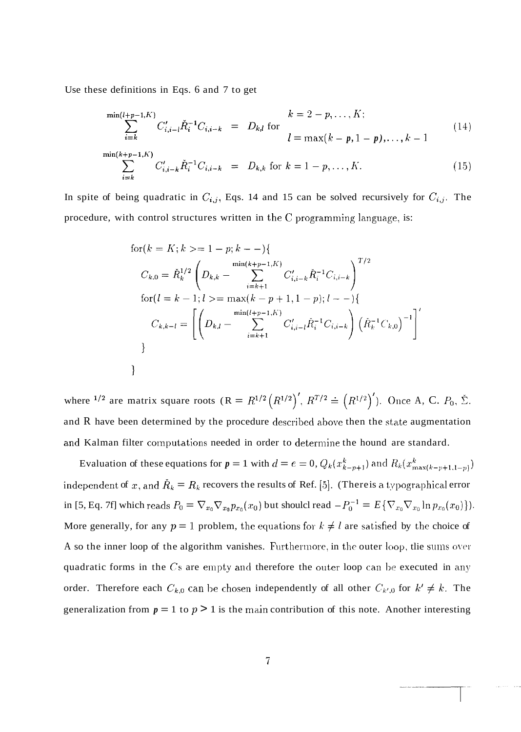Use these definitions in Eqs. 6 and 7 to get

$$
\sum_{i=k}^{\min(l+p-1,K)} C'_{i,i-l} \check{R}_i^{-1} C_{i,i-k} = D_{k,l} \text{ for}
$$
\n
$$
l = \max(k-p, 1-p), \dots, k-1
$$
\n
$$
\sum_{i=k}^{\min(k+p-1,K)} C'_{i,i-k} \check{R}_i^{-1} C_{i,i-k} = D_{k,k} \text{ for } k = 1-p, \dots, K.
$$
\n(15)

In spite of being quadratic in  $C_{i,j}$ , Eqs. 14 and 15 can be solved recursively for  $C_{i,j}$ . The procedure, with control structures written in the  $C$  programming language, is:

for 
$$
(k = K; k \geq 1 - p; k - -)
$$
  
\n
$$
C_{k,0} = \tilde{R}_k^{1/2} \left( D_{k,k} - \sum_{i=k+1}^{\min(k+p-1,K)} C'_{i,i-k} \tilde{R}_i^{-1} C_{i,i-k} \right)^{T/2}
$$
\nfor  $(l = k - 1; l \geq 1$  max $(k - p + 1, 1 - p); l - -)$   
\n
$$
C_{k,k-l} = \left[ \left( D_{k,l} - \sum_{i=k+1}^{\min(l+p-1,K)} C'_{i,i-l} \tilde{R}_i^{-1} C_{i,i-k} \right) \left( \tilde{R}_k^{-1} C_{k,0} \right)^{-1} \right]^T
$$
\n
$$
\}
$$

where <sup>1/2</sup> are matrix square roots  $(R = R^{1/2} (R^{1/2})'$ ,  $R^{T/2} = (R^{1/2})'$ ). Once A, C.  $P_0$ ,  $\Sigma$ . and  $R$  have been determined by the procedure described above then the state augmentation and Kalman filter computations needed in order to determine the hound are standard.

Evaluation of these equations for  $p = 1$  with  $d = e = 0$ ,  $Q_k(x_{k-p+1}^k)$  and  $R_k(x_{\max(k-p+1,1-p)}^k)$ independent of x, and  $\check{R}_k = R_k$  recovers the results of Ref. [5]. (There is a typographical error in [5, Eq. 7f] which reads  $P_0 = \nabla_{x_0} \nabla_{x_0} p_{x_0}(x_0)$  but should read  $-P_0^{-1} = E\{\nabla_{x_0} \nabla_{x_0} \ln p_{x_0}(x_0)\}\.$ More generally, for any  $p = 1$  problem, the equations for  $k \neq l$  are satisfied by the choice of A so the inner loop of the algorithm vanishes. Furthermore, in the outer loop, the sums over quadratic forms in the  $Cs$  are empty and therefore the outer loop can be executed in any order. Therefore each  $C_{k,0}$  can be chosen independently of all other  $C_{k',0}$  for  $k' \neq k$ . The generalization from  $p = 1$  to  $p > 1$  is the main contribution of this note. Another interesting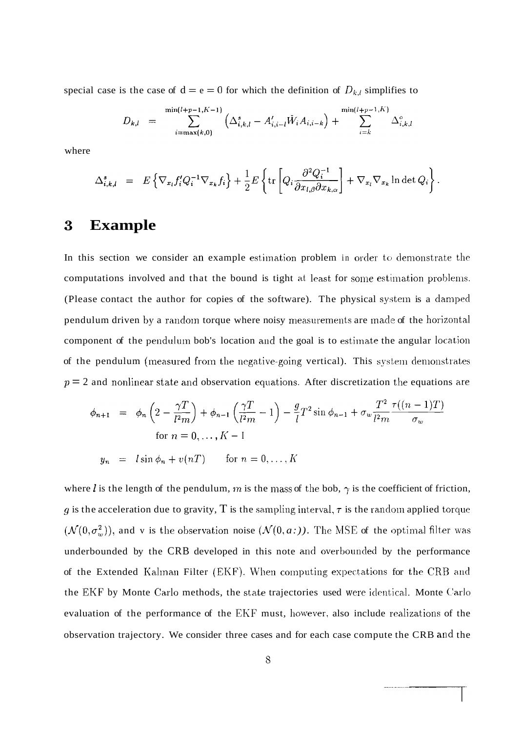special case is the case of  $d = e = 0$  for which the definition of  $D_{k,l}$  simplifies to

$$
D_{k,l} = \sum_{i=\max(k,0)}^{\min(l+p-1,K-1)} \left( \Delta_{i,k,l}^s - A'_{i,i-l} \check{W}_i A_{i,i-k} \right) + \sum_{i=k}^{\min(l+p-1,K)} \Delta_{i,k,l}^c
$$

where

$$
\Delta_{i,k,l}^s = E \left\{ \nabla_{x_l} f'_i Q_i^{-1} \nabla_{x_k} f_i \right\} + \frac{1}{2} E \left\{ \text{tr} \left[ Q_i \frac{\partial^2 Q_i^{-1}}{\partial x_{l,\beta} \partial x_{k,\alpha}} \right] + \nabla_{x_l} \nabla_{x_k} \ln \det Q_i \right\}.
$$

# **3 Example**

In this section we consider an example estimation problem in order to demonstrate the computations involved and that the bound is tight at least for some estimation problems. (Please contact the author for copies of the software). The physical system is a damped pendulum driven by a random torque where noisy measurements are made of the horizontal component of the pendulum bob's location and the goal is to estimate the angular location of the pendulum (measured from the negative-going vertical). This system demonstrates  $p=2$  and nonlinear state and observation equations. After discretization the equations are

$$
\phi_{n+1} = \phi_n \left( 2 - \frac{\gamma T}{l^2 m} \right) + \phi_{n-1} \left( \frac{\gamma T}{l^2 m} - 1 \right) - \frac{g}{l} T^2 \sin \phi_{n-1} + \sigma_w \frac{T^2}{l^2 m} \frac{\tau((n-1)T)}{\sigma_w}
$$
  
for  $n = 0, ..., K - 1$ 

 $y_n = l \sin \phi_n + v(nT)$  for  $n = 0, ..., K$ 

where *l* is the length of the pendulum, *m* is the mass of the bob,  $\gamma$  is the coefficient of friction,  $q$  is the acceleration due to gravity, T is the sampling interval,  $\tau$  is the random applied torque  $(\mathcal{N}(0, \sigma_w^2))$ , and v is the observation noise  $(\mathcal{N}(0, a:))$ . The MSE of the optimal filter was underbounded by the CRB developed in this note and overbounded by the performance of the Extended Kalman Filter (EKF). When computing expectations for the CRB and the EKF by Monte Carlo methods, the state trajectories used were identical. Monte Carlo evaluation of the performance of the EKF must, however, also include realizations of the observation trajectory. We consider three cases and for each case compute the CRB and the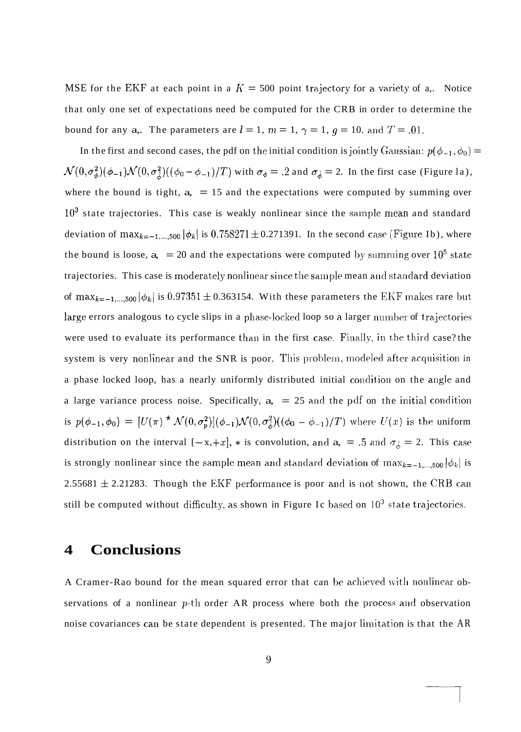MSE for the EKF at each point in a  $K = 500$  point trajectory for a variety of a,. Notice that only one set of expectations need be computed for the CRB in order to determine the bound for any a,. The parameters are  $l = 1$ ,  $m = 1$ ,  $\gamma = 1$ ,  $q = 10$ . and  $T = .01$ .

In the first and second cases, the pdf on the initial condition is jointly Gaussian:  $p(\phi_{-1}, \phi_0) =$  $\mathcal{N}(0, \sigma_{\phi}^2)(\phi_{-1})\mathcal{N}(0, \sigma_{\phi}^2)((\phi_0 - \phi_{-1})/T)$  with  $\sigma_{\phi} = .2$  and  $\sigma_{\phi} = 2$ . In the first case (Figure la), where the bound is tight,  $a<sub>z</sub> = 15$  and the expectations were computed by summing over  $10^3$  state trajectories. This case is weakly nonlinear since the sample mean and standard deviation of max<sub>k=-1,...,500</sub>  $|\phi_k|$  is 0.758271 ± 0.271391. In the second case (Figure Ib), where the bound is loose,  $a<sub>1</sub> = 20$  and the expectations were computed by summing over  $10<sup>5</sup>$  state trajectories. This case is moderately nonlinear since the sample mean and standard deviation of max<sub>k=-1,...,500</sub>  $|\phi_k|$  is 0.97351  $\pm$  0.363154. With these parameters the EKF makes rare but large errors analogous to cycle slips in a phase-locked loop so a larger number of trajectories were used to evaluate its performance than in the first case. Finally, in the third case? the system is very nonlinear and the SNR is poor. This problem, modeled after acquisition in a phase locked loop, has a nearly uniformly distributed initial condition on the angle and a large variance process noise. Specifically,  $a<sub>z</sub> = 25$  and the pdf on the initial condition is  $p(\phi_{-1}, \phi_0) = [U(\pi) * \mathcal{N}(0, \sigma_p^2)](\phi_{-1})\mathcal{N}(0, \sigma_\phi^2)((\phi_0 - \phi_{-1})/T)$  where  $U(x)$  is the uniform distribution on the interval  $[-x, +x]$ ,  $*$  is convolution, and  $a_0 = .5$  and  $\sigma_{\phi} = 2$ . This case is strongly nonlinear since the sample mean and standard deviation of  $\max_{k=-1,\dots,500} |\phi_k|$  is 2.55681  $\pm$  2.21283. Though the EKF performance is poor and is not shown, the CRB can still be computed without difficulty, as shown in Figure Ic based on  $10^3$  state trajectories.

### **4 Conclusions**

A Cramer-Rao bound for the mean squared error that can be achieved with nonlinear observations of a nonlinear  $p$ -th order AR process where both the process and observation noise covariances can be state dependent is presented. The major limitation is that the AR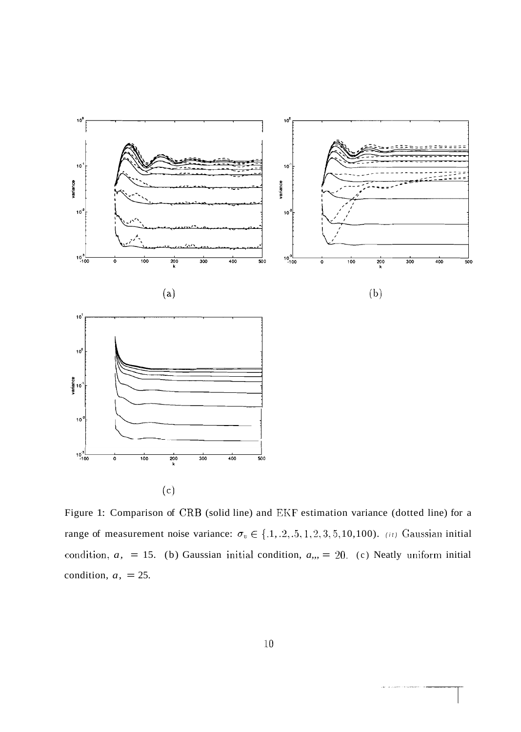

Figure 1: Comparison of CRB (solid line) and EKF estimation variance (dotted line) for a range of measurement noise variance:  $\sigma_v \in \{.1, .2, .5, 1, 2, 3, 5, 10, 100\}$ . (it) Gaussian initial condition,  $a$ , = 15. (b) Gaussian initial condition,  $a_{n}$  = 20. (c) Neatly uniform initial condition,  $a<sub>1</sub> = 25$ .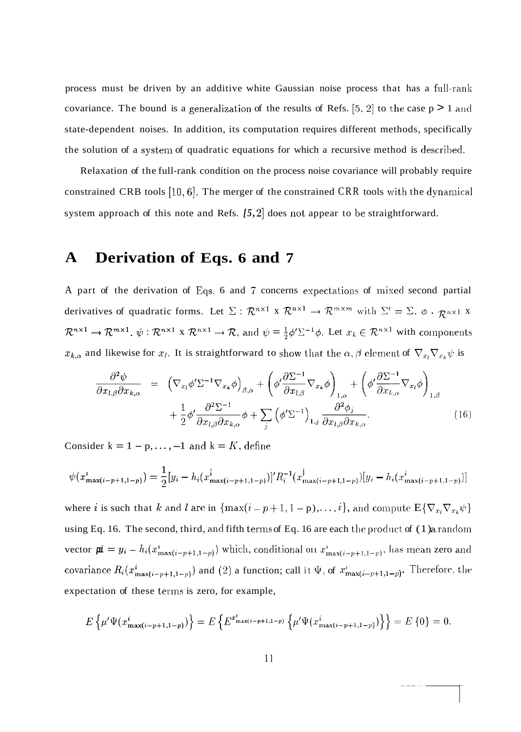process must be driven by an additive white Gaussian noise process that has a full-ranli covariance. The bound is a generalization of the results of Refs. [5, 2] to the case  $p > 1$  and state-dependent noises. In addition, its computation requires different methods, specifically the solution of a system of quadratic equations for which a recursive method is described.

Relaxation of the full-rank condition on the process noise covariance will probably require constrained CRB tools [10, 6]. The merger of the constrained CRR tools with the dynamical system approach of this note and Refs.  $[5, 2]$  does not appear to be straightforward.

# **A Derivation of Eqs. 6 and 7**

A part of the derivation of Eqs. 6 and 7 concerns expectations of mixed second partial derivatives of quadratic forms. Let  $\Sigma : \mathbb{R}^{n \times 1} \times \mathbb{R}^{n \times 1} \to \mathbb{R}^{m \times m}$  with  $\Sigma' = \Sigma$ ,  $\phi$ .  $\mathbb{R}^{n \times 1} \times$  $\mathcal{R}^{n\times 1} \to \mathcal{R}^{m\times 1}$ ,  $\psi : \mathcal{R}^{n\times 1} \times \mathcal{R}^{n\times 1} \to \mathcal{R}$ , and  $\psi = \frac{1}{2}\phi'\Sigma^{-1}\phi$ . Let  $x_k \in \mathcal{R}^{n\times 1}$  with components  $x_{k,\alpha}$  and likewise for  $x_l$ . It is straightforward to show that the  $\alpha, \beta$  element of  $\nabla_{x_l} \nabla_{x_k} \psi$  is

$$
\frac{\partial^2 \psi}{\partial x_{l,\beta} \partial x_{k,\alpha}} = \left( \nabla_{x_l} \phi' \Sigma^{-1} \nabla_{x_k} \phi \right)_{\beta,\alpha} + \left( \phi' \frac{\partial \Sigma^{-1}}{\partial x_{l,\beta}} \nabla_{x_k} \phi \right)_{1,\alpha} + \left( \phi' \frac{\partial \Sigma^{-1}}{\partial x_{k,\alpha}} \nabla_{x_l} \phi \right)_{1,\beta} + \frac{1}{2} \phi' \frac{\partial^2 \Sigma^{-1}}{\partial x_{l,\beta} \partial x_{k,\alpha}} \phi + \sum_j \left( \phi' \Sigma^{-1} \right)_{1,j} \frac{\partial^2 \phi_j}{\partial x_{l,\beta} \partial x_{k,\alpha}}.
$$
\n(16)

Consider  $k = 1 - p, \ldots, -1$  and  $k = K$ , define

$$
\psi(x_{\max(i-p+1,1-p)}^i) = \frac{1}{2} [y_i - h_i(x_{\max(i-p+1,1-p)}^i)]' R_i^{-1}(x_{\max(i-p+1,1-p)}^i) [y_i - h_i(x_{\max(i-p+1,1-p)}^i)]
$$

where *i* is such that *k* and *l* are in  $\{\max(i - p + 1, 1 - p), \ldots, i\}$ , and compute  $E\{\nabla_{x_i}\nabla_{x_k}\psi\}$ using Eq. 16. The second, third, and fifth terms of Eq. 16 are each the product of  $(1)$  a random vector  $\mathbf{p} = y_i - h_i(x_{\max(i-p+1,1-p)}^i)$  which, conditional on  $x_{\max(i-p+1,1-p)}^i$ , has mean zero and covariance  $R_i(x_{\max(i-p+1,1-p)}^i)$  and (2) a function; call it  $\Psi$ , of  $x_{\max(i-p+1,1-p)}^i$ . Therefore, the expectation of these terms is zero, for example,

$$
E\left\{\mu'\Psi(x_{\max(i-p+1,1-p)}^i)\right\} = E\left\{E^{x_{\max(i-p+1,1-p)}^i}\left\{\mu'\Psi(x_{\max(i-p+1,1-p)}^i)\right\}\right\} = E\left\{0\right\} = 0.
$$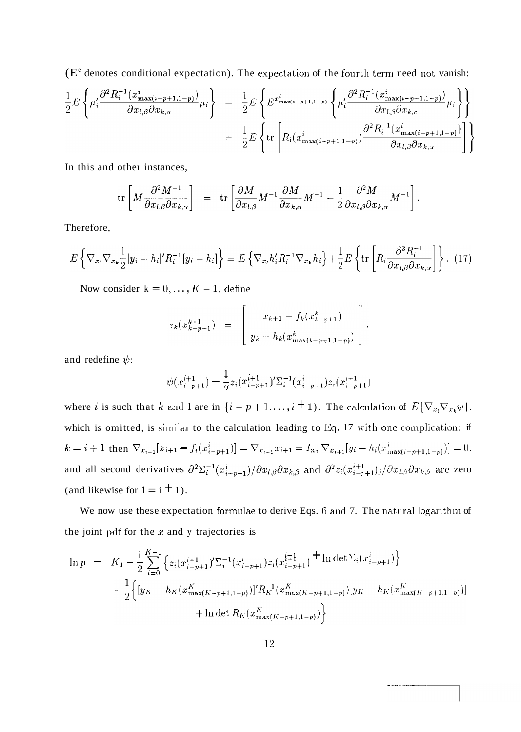$(E<sup>e</sup>$  denotes conditional expectation). The expectation of the fourth term need not vanish:

$$
\frac{1}{2}E\left\{\mu'_{i}\frac{\partial^{2}R_{i}^{-1}(x_{\max(i-p+1,1-p)}^{i})}{\partial x_{l,\beta}\partial x_{k,\alpha}}\mu_{i}\right\} = \frac{1}{2}E\left\{E^{x_{\max(i-p+1,1-p)}^{i}}\left\{\mu'_{i}\frac{\partial^{2}R_{i}^{-1}(x_{\max(i-p+1,1-p)}^{i})}{\partial x_{l,\beta}\partial x_{k,\alpha}}\mu_{i}\right\}\right\}
$$
\n
$$
= \frac{1}{2}E\left\{\text{tr}\left[R_{i}(x_{\max(i-p+1,1-p)}^{i})\frac{\partial^{2}R_{i}^{-1}(x_{\max(i-p+1,1-p)}^{i})}{\partial x_{l,\beta}\partial x_{k,\alpha}}\right]\right\}
$$

In this and other instances,

$$
\operatorname{tr}\left[M\frac{\partial^2 M^{-1}}{\partial x_{l,\beta}\partial x_{k,\alpha}}\right] = \operatorname{tr}\left[\frac{\partial M}{\partial x_{l,\beta}}M^{-1}\frac{\partial M}{\partial x_{k,\alpha}}M^{-1} - \frac{1}{2}\frac{\partial^2 M}{\partial x_{l,\beta}\partial x_{k,\alpha}}M^{-1}\right]
$$

Therefore,

$$
E\left\{\nabla_{x_i}\nabla_{x_k}\frac{1}{2}[y_i - h_i]'R_i^{-1}[y_i - h_i]\right\} = E\left\{\nabla_{x_i}h'_iR_i^{-1}\nabla_{x_k}h_i\right\} + \frac{1}{2}E\left\{\text{tr}\left[R_i\frac{\partial^2 R_i^{-1}}{\partial x_{l,\beta}\partial x_{k,\alpha}}\right]\right\}.
$$
 (17)

Now consider  $k = 0, ..., K - 1$ , define

$$
z_k(x_{k-p+1}^{k+1}) = \begin{bmatrix} x_{k+1} - f_k(x_{k-p+1}^k) \\ y_k - h_k(x_{\max(k-p+1,1-p}^k)) \end{bmatrix}
$$

and redefine  $\psi$ :

$$
\psi(x_{i-p+1}^{i+1}) = \frac{1}{7}z_i(x_{i-p+1}^{i+1})'\Sigma_i^{-1}(x_{i-p+1}^i)z_i(x_{i-p+1}^{i+1})
$$

where *i* is such that *k* and 1 are in  $\{i - p + 1, ..., i + 1\}$ . The calculation of  $E\{\nabla_{x_i}\nabla_{x_k}\psi\}$ , which is omitted, is similar to the calculation leading to Eq. 17 with one complication: if  $k = i + 1$  then  $\nabla_{x_{i+1}}[x_{i+1} - f_i(x_{i-p+1}^i)] = \nabla_{x_{i+1}}x_{i+1} = I_n$ ,  $\nabla_{x_{i+1}}[y_i - h_i(x_{\max(i-p+1,1-p)}^i)] = 0$ , and all second derivatives  $\partial^2 \Sigma_i^{-1}(x_{i-p+1}^i)/\partial x_{l,\beta} \partial x_{k,\beta}$  and  $\partial^2 z_i(x_{i-p+1}^{i+1})_j/\partial x_{l,\beta} \partial x_{k,\beta}$  are zero (and likewise for  $1 = i + 1$ ).

We now use these expectation formulae to derive Eqs. 6 and 7. The natural logarithm of the joint pdf for the  $x$  and  $y$  trajectories is

$$
\ln p = K_1 - \frac{1}{2} \sum_{i=0}^{K-1} \left\{ z_i (x_{i-p+1}^{i+1})' \Sigma_i^{-1} (x_{i-p+1}^i) z_i (x_{i-p+1}^{i+1}) + \ln \det \Sigma_i (x_{i-p+1}^i) \right\} \n- \frac{1}{2} \left\{ \left[ y_K - h_K (x_{\max(K-p+1,1-p)}^K) \right]'' R_K^{-1} (x_{\max(K-p+1,1-p)}^K) \left[ y_K - h_K (x_{\max(K-p+1,1-p)}^K) \right] \right\} \n+ \ln \det R_K (x_{\max(K-p+1,1-p)}^K) \right\}
$$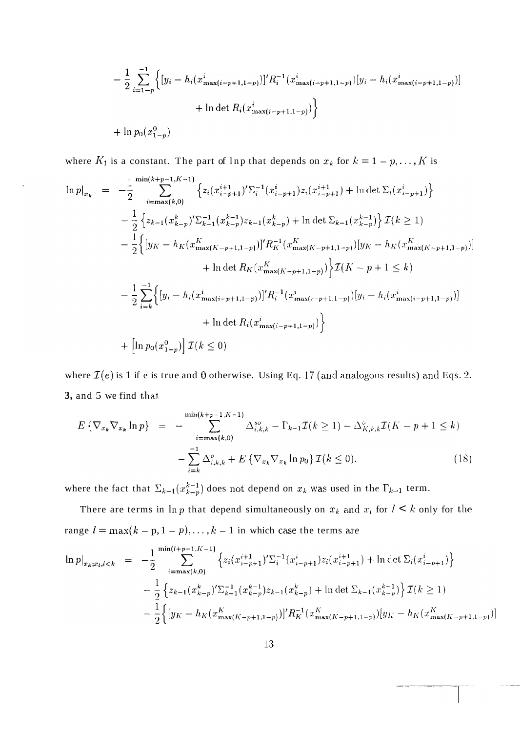$$
-\frac{1}{2} \sum_{i=1-p}^{-1} \Big\{ [y_i - h_i(x_{\max(i-p+1,1-p)}^i)]' R_i^{-1}(x_{\max(i-p+1,1-p)}^i) [y_i - h_i(x_{\max(i-p+1,1-p)}^i)] + \ln \det R_i(x_{\max(i-p+1,1-p)}^i) \Big\}
$$
  
+  $\ln p_0(x_{1-p}^0)$ 

where  $K_1$  is a constant. The part of lnp that depends on  $x_k$  for  $k = 1 - p, \ldots, K$  is

$$
\ln p|_{x_k} = -\frac{1}{2} \sum_{i=\max(k,0)}^{\min(k+p-1,K-1)} \left\{ z_i (x_{i-p+1}^{i+1})' \sum_{i}^{-1} (x_{i-p+1}^{i}) z_i (x_{i-p+1}^{i+1}) + \ln \det \sum_{i} (x_{i-p+1}^{i}) \right\} - \frac{1}{2} \left\{ z_{k-1} (x_{k-p}^k)' \sum_{k=1}^{-1} (x_{k-p}^{k-1}) z_{k-1} (x_{k-p}^k) + \ln \det \sum_{k-1} (x_{k-p}^{k-1}) \right\} \mathcal{I}(k \ge 1) - \frac{1}{2} \left\{ [y_K - h_K (x_{\max(K-p+1,1-p)}^K)]' R_K^{-1} (x_{\max(K-p+1,1-p)}^K) [y_K - h_K (x_{\max(K-p+1,1-p)}^K) ] \right\} + \ln \det R_K (x_{\max(K-p+1,1-p)}^K) \left\{ \mathcal{I}(K-p+1 \le k) \right\} - \frac{1}{2} \sum_{i=k}^{-1} \left\{ [y_i - h_i (x_{\max(i-p+1,1-p)}^i)]' R_i^{-1} (x_{\max(i-p+1,1-p)}^i) [y_i - h_i (x_{\max(i-p+1,1-p)}^i) ] \right\} + \ln \det R_i (x_{\max(i-p+1,1-p)}^i) \right\} + \left[ \ln p_0 (x_{1-p}^0) \right] \mathcal{I}(k \le 0)
$$

where  $\mathcal{I}(e)$  is 1 if e is true and 0 otherwise. Using Eq. 17 (and analogous results) and Eqs. 2, 3, and 5 we find that

$$
E\left\{\nabla_{x_k}\nabla_{x_k}\ln p\right\} = -\sum_{i=\max(k,0)}^{\min(k+p-1,K-1)} \Delta_{i,k,k}^{so} - \Gamma_{k-1}\mathcal{I}(k \ge 1) - \Delta_{K,k,k}^{\circ}\mathcal{I}(K-p+1 \le k) -\sum_{i=k}^{-1} \Delta_{i,k,k}^{\circ} + E\left\{\nabla_{x_k}\nabla_{x_k}\ln p_0\right\}\mathcal{I}(k \le 0). \tag{18}
$$

where the fact that  $\Sigma_{k-1}(x_{k-p}^{k-1})$  does not depend on  $x_k$  was used in the  $\Gamma_{k-1}$  term.

There are terms in  $\ln p$  that depend simultaneously on  $x_k$  and  $x_l$  for  $l \leq k$  only for the range  $l = \max(k - p, 1 - p), \ldots, k - 1$  in which case the terms are

$$
\ln p|_{x_k;x_l,l< k} = -\frac{1}{2} \sum_{i=\max(k,0)}^{\min(l+p-1,K-1)} \left\{ z_i(x_{i-p+1}^{i+1})' \Sigma_i^{-1}(x_{i-p+1}^i) z_i(x_{i-p+1}^{i+1}) + \ln \det \Sigma_i(x_{i-p+1}^i) \right\} \n- \frac{1}{2} \left\{ z_{k-1}(x_{k-p}^k)' \Sigma_{k-1}^{-1}(x_{k-p}^{k-1}) z_{k-1}(x_{k-p}^k) + \ln \det \Sigma_{k-1}(x_{k-p}^{k-1}) \right\} \mathcal{I}(k \ge 1) \n- \frac{1}{2} \left\{ [y_K - h_K(x_{\max(K-p+1,1-p)}^K)]' R_K^{-1}(x_{\max(K-p+1,1-p)}^K) [y_K - h_K(x_{\max(K-p+1,1-p)}^K)] \right\}
$$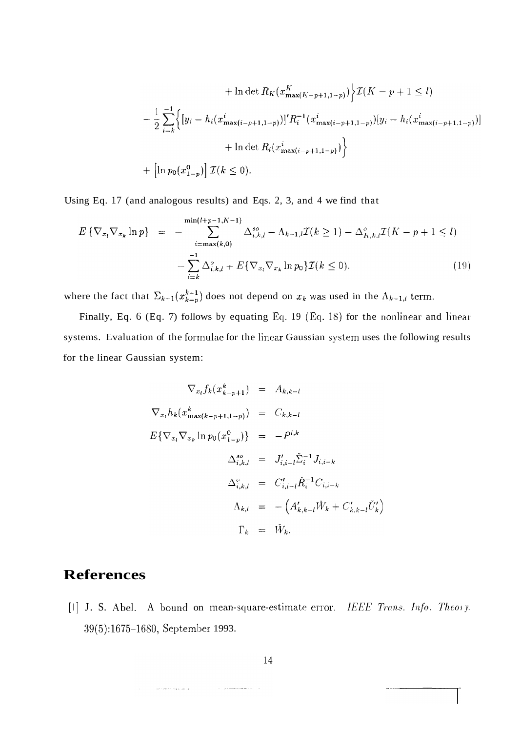$$
+ \ln \det R_K(x_{\max(K-p+1,1-p)}^K) \Big\} \mathcal{I}(K-p+1 \le l)
$$
  

$$
- \frac{1}{2} \sum_{i=k}^{-1} \Big\{ [y_i - h_i(x_{\max(i-p+1,1-p)}^i)]' R_i^{-1} (x_{\max(i-p+1,1-p)}^i) [y_i - h_i(x_{\max(i-p+1,1-p)}^i)] + \ln \det R_i(x_{\max(i-p+1,1-p)}^i) \Big\}
$$
  

$$
+ \Big[ \ln p_0(x_{1-p}^0) \Big] \mathcal{I}(k \le 0).
$$

Using Eq. 17 (and analogous results) and Eqs. 2, 3, and 4 we find that

$$
E\left\{\nabla_{x_l}\nabla_{x_k}\ln p\right\} = -\sum_{i=\max(k,0)}^{\min(l+p-1,K-1)} \Delta_{i,k,l}^{so} - \Lambda_{k-1,l}\mathcal{I}(k \ge 1) - \Delta_{K,k,l}^{o}\mathcal{I}(K-p+1 \le l) -\sum_{i=k}^{-1} \Delta_{i,k,l}^{o} + E\{\nabla_{x_l}\nabla_{x_k}\ln p_0\}\mathcal{I}(k \le 0).
$$
\n(19)

where the fact that  $\Sigma_{k-1}(x_{k-p}^{k-1})$  does not depend on  $x_k$  was used in the  $\Lambda_{k-1,l}$  term.

Finally, Eq. 6 (Eq. 7) follows by equating Eq. 19 (Eq. 18) for the nonlinear and linear systems. Evaluation of the formulae for the linear Gaussian system uses the following results for the linear Gaussian system:

$$
\nabla_{x_l} f_k(x_{k-p+1}^k) = A_{k,k-l}
$$
  
\n
$$
\nabla_{x_l} h_k(x_{\max(k-p+1,1-p)}^k) = C_{k,k-l}
$$
  
\n
$$
E\{\nabla_{x_l} \nabla_{x_k} \ln p_0(x_{1-p}^0)\} = -P^{l,k}
$$
  
\n
$$
\Delta_{i,k,l}^{so} = J'_{i,i-l} \tilde{\Sigma}_i^{-1} J_{i,i-k}
$$
  
\n
$$
\Delta_{i,k,l}^{o} = C'_{i,i-l} \tilde{R}_i^{-1} C_{i,i-k}
$$
  
\n
$$
\Lambda_{k,l} = -\left(A'_{k,k-l} \tilde{W}_k + C'_{k,k-l} \tilde{U}'_k\right)
$$
  
\n
$$
\Gamma_k = \tilde{W}_k.
$$

# **References**

 $\label{eq:2} \left\langle \hat{z}_{1},\ldots,\hat{z}_{N}\right\rangle =\left\langle \hat{z}_{1},\ldots,\hat{z}_{N}\right\rangle$ 

[1] J. S. Abel. A bound on mean-square-estimate error. *IEEE Trans. Info. Theory.* 39(5):1675-1680, September 1993.

 $\sim$   $\sim$   $\sim$